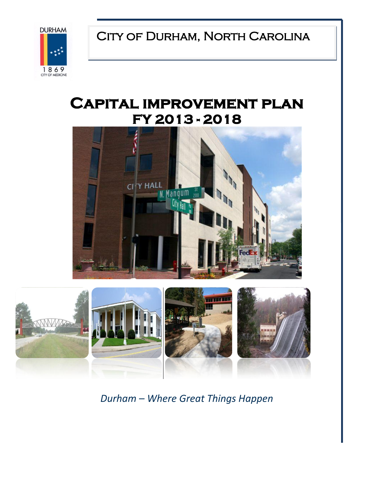CITY OF DURHAM, NORTH CAROLINA



# **Capital improvement plan FY 2013 - 2018**





*Durham – Where Great Things Happen*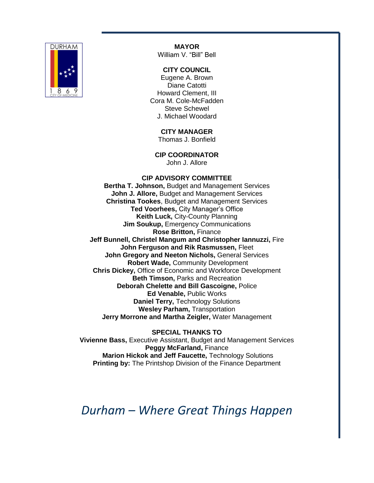

**MAYOR** William V. "Bill" Bell

#### **CITY COUNCIL**

Eugene A. Brown Diane Catotti Howard Clement, III Cora M. Cole-McFadden Steve Schewel J. Michael Woodard

> **CITY MANAGER** Thomas J. Bonfield

**CIP COORDINATOR** John J. Allore

#### **CIP ADVISORY COMMITTEE**

**Bertha T. Johnson,** Budget and Management Services **John J. Allore,** Budget and Management Services **Christina Tookes**, Budget and Management Services **Ted Voorhees,** City Manager's Office **Keith Luck,** City-County Planning **Jim Soukup,** Emergency Communications **Rose Britton,** Finance **Jeff Bunnell, Christel Mangum and Christopher Iannuzzi,** Fire **John Ferguson and Rik Rasmussen,** Fleet **John Gregory and Neeton Nichols,** General Services **Robert Wade,** Community Development **Chris Dickey,** Office of Economic and Workforce Development **Beth Timson,** Parks and Recreation **Deborah Chelette and Bill Gascoigne,** Police **Ed Venable,** Public Works **Daniel Terry,** Technology Solutions **Wesley Parham,** Transportation **Jerry Morrone and Martha Zeigler,** Water Management

**SPECIAL THANKS TO Vivienne Bass,** Executive Assistant, Budget and Management Services **Peggy McFarland,** Finance **Marion Hickok and Jeff Faucette,** Technology Solutions **Printing by:** The Printshop Division of the Finance Department

*Durham – Where Great Things Happen*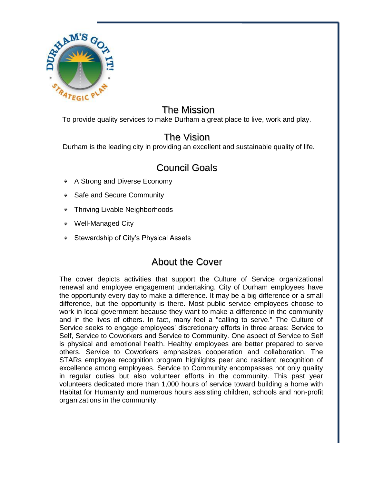

### The Mission

To provide quality services to make Durham a great place to live, work and play.

### The Vision

Durham is the leading city in providing an excellent and sustainable quality of life.

## Council Goals

- **★** A Strong and Diverse Economy
- Safe and Secure Community
- Thriving Livable Neighborhoods
- Well-Managed City
- **★ Stewardship of City's Physical Assets**

## About the Cover

The cover depicts activities that support the Culture of Service organizational renewal and employee engagement undertaking. City of Durham employees have the opportunity every day to make a difference. It may be a big difference or a small difference, but the opportunity is there. Most public service employees choose to work in local government because they want to make a difference in the community and in the lives of others. In fact, many feel a "calling to serve." The Culture of Service seeks to engage employees' discretionary efforts in three areas: Service to Self, Service to Coworkers and Service to Community. One aspect of Service to Self is physical and emotional health. Healthy employees are better prepared to serve others. Service to Coworkers emphasizes cooperation and collaboration. The STARs employee recognition program highlights peer and resident recognition of excellence among employees. Service to Community encompasses not only quality in regular duties but also volunteer efforts in the community. This past year volunteers dedicated more than 1,000 hours of service toward building a home with Habitat for Humanity and numerous hours assisting children, schools and non-profit organizations in the community.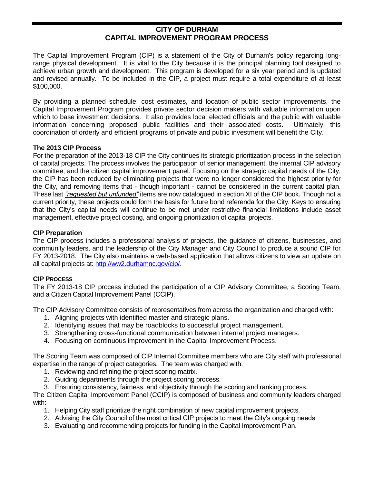#### **CITY OF DURHAM CAPITAL IMPROVEMENT PROGRAM PROCESS**

The Capital Improvement Program (CIP) is a statement of the City of Durham's policy regarding longrange physical development. It is vital to the City because it is the principal planning tool designed to achieve urban growth and development. This program is developed for a six year period and is updated and revised annually. To be included in the CIP, a project must require a total expenditure of at least \$100,000.

By providing a planned schedule, cost estimates, and location of public sector improvements, the Capital Improvement Program provides private sector decision makers with valuable information upon which to base investment decisions. It also provides local elected officials and the public with valuable information concerning proposed public facilities and their associated costs. Ultimately, this coordination of orderly and efficient programs of private and public investment will benefit the City.

#### **The 2013 CIP Process**

For the preparation of the 2013-18 CIP the City continues its strategic prioritization process in the selection of capital projects. The process involves the participation of senior management, the internal CIP advisory committee, and the citizen capital improvement panel. Focusing on the strategic capital needs of the City, the CIP has been reduced by eliminating projects that were no longer considered the highest priority for the City, and removing items that - though important - cannot be considered in the current capital plan. These last *"requested but unfunded"* items are now catalogued in section XI of the CIP book. Though not a current priority, these projects could form the basis for future bond referenda for the City. Keys to ensuring that the City's capital needs will continue to be met under restrictive financial limitations include asset management, effective project costing, and ongoing prioritization of capital projects.

#### **CIP Preparation**

The CIP process includes a professional analysis of projects, the guidance of citizens, businesses, and community leaders, and the leadership of the City Manager and City Council to produce a sound CIP for FY 2013-2018. The City also maintains a web-based application that allows citizens to view an update on all capital projects at: [http://ww2.durhamnc.gov/cip/.](http://ww2.durhamnc.gov/cip/)

#### **CIP PROCESS**

The FY 2013-18 CIP process included the participation of a CIP Advisory Committee, a Scoring Team, and a Citizen Capital Improvement Panel (CCIP).

The CIP Advisory Committee consists of representatives from across the organization and charged with:

- 1. Aligning projects with identified master and strategic plans.
- 2. Identifying issues that may be roadblocks to successful project management.
- 3. Strengthening cross-functional communication between internal project managers.
- 4. Focusing on continuous improvement in the Capital Improvement Process.

The Scoring Team was composed of CIP Internal Committee members who are City staff with professional expertise in the range of project categories. The team was charged with:

- 1. Reviewing and refining the project scoring matrix.
- 2. Guiding departments through the project scoring process.
- 3. Ensuring consistency, fairness, and objectivity through the scoring and ranking process.

The Citizen Capital Improvement Panel (CCIP) is composed of business and community leaders charged with:

- 1. Helping City staff prioritize the right combination of new capital improvement projects.
- 2. Advising the City Council of the most critical CIP projects to meet the City's ongoing needs.
- 3. Evaluating and recommending projects for funding in the Capital Improvement Plan.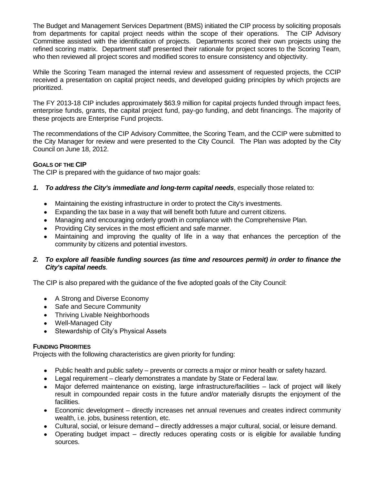The Budget and Management Services Department (BMS) initiated the CIP process by soliciting proposals from departments for capital project needs within the scope of their operations. The CIP Advisory Committee assisted with the identification of projects. Departments scored their own projects using the refined scoring matrix. Department staff presented their rationale for project scores to the Scoring Team, who then reviewed all project scores and modified scores to ensure consistency and objectivity.

While the Scoring Team managed the internal review and assessment of requested projects, the CCIP received a presentation on capital project needs, and developed guiding principles by which projects are prioritized.

The FY 2013-18 CIP includes approximately \$63.9 million for capital projects funded through impact fees, enterprise funds, grants, the capital project fund, pay-go funding, and debt financings. The majority of these projects are Enterprise Fund projects.

The recommendations of the CIP Advisory Committee, the Scoring Team, and the CCIP were submitted to the City Manager for review and were presented to the City Council. The Plan was adopted by the City Council on June 18, 2012.

#### **GOALS OF THE CIP**

The CIP is prepared with the guidance of two major goals:

- *1. To address the City's immediate and long-term capital needs*, especially those related to:
	- Maintaining the existing infrastructure in order to protect the City's investments.
	- Expanding the tax base in a way that will benefit both future and current citizens.
	- Managing and encouraging orderly growth in compliance with the Comprehensive Plan.
	- Providing City services in the most efficient and safe manner.
	- Maintaining and improving the quality of life in a way that enhances the perception of the community by citizens and potential investors.

#### *2. To explore all feasible funding sources (as time and resources permit) in order to finance the City's capital needs.*

The CIP is also prepared with the guidance of the five adopted goals of the City Council:

- A Strong and Diverse Economy
- Safe and Secure Community
- Thriving Livable Neighborhoods
- Well-Managed City
- Stewardship of City's Physical Assets

#### **FUNDING PRIORITIES**

Projects with the following characteristics are given priority for funding:

- Public health and public safety prevents or corrects a major or minor health or safety hazard.
- Legal requirement clearly demonstrates a mandate by State or Federal law.
- Major deferred maintenance on existing, large infrastructure/facilities lack of project will likely result in compounded repair costs in the future and/or materially disrupts the enjoyment of the facilities.
- Economic development directly increases net annual revenues and creates indirect community wealth, i.e. jobs, business retention, etc.
- Cultural, social, or leisure demand directly addresses a major cultural, social, or leisure demand.
- Operating budget impact directly reduces operating costs or is eligible for available funding sources.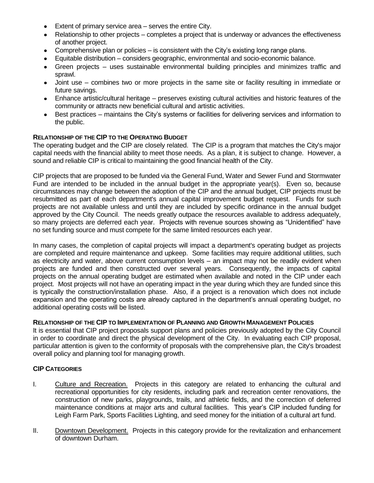- Extent of primary service area serves the entire City.
- Relationship to other projects completes a project that is underway or advances the effectiveness of another project.
- Comprehensive plan or policies is consistent with the City's existing long range plans.
- Equitable distribution considers geographic, environmental and socio-economic balance.
- Green projects uses sustainable environmental building principles and minimizes traffic and  $\bullet$ sprawl.
- Joint use combines two or more projects in the same site or facility resulting in immediate or future savings.
- Enhance artistic/cultural heritage preserves existing cultural activities and historic features of the community or attracts new beneficial cultural and artistic activities.
- Best practices maintains the City's systems or facilities for delivering services and information to  $\bullet$ the public.

#### **RELATIONSHIP OF THE CIP TO THE OPERATING BUDGET**

The operating budget and the CIP are closely related. The CIP is a program that matches the City's major capital needs with the financial ability to meet those needs. As a plan, it is subject to change. However, a sound and reliable CIP is critical to maintaining the good financial health of the City.

CIP projects that are proposed to be funded via the General Fund, Water and Sewer Fund and Stormwater Fund are intended to be included in the annual budget in the appropriate year(s). Even so, because circumstances may change between the adoption of the CIP and the annual budget, CIP projects must be resubmitted as part of each department's annual capital improvement budget request. Funds for such projects are not available unless and until they are included by specific ordinance in the annual budget approved by the City Council. The needs greatly outpace the resources available to address adequately, so many projects are deferred each year. Projects with revenue sources showing as "Unidentified" have no set funding source and must compete for the same limited resources each year.

In many cases, the completion of capital projects will impact a department's operating budget as projects are completed and require maintenance and upkeep. Some facilities may require additional utilities, such as electricity and water, above current consumption levels – an impact may not be readily evident when projects are funded and then constructed over several years. Consequently, the impacts of capital projects on the annual operating budget are estimated when available and noted in the CIP under each project. Most projects will not have an operating impact in the year during which they are funded since this is typically the construction/installation phase. Also, if a project is a renovation which does not include expansion and the operating costs are already captured in the department's annual operating budget, no additional operating costs will be listed.

#### **RELATIONSHIP OF THE CIP TO IMPLEMENTATION OF PLANNING AND GROWTH MANAGEMENT POLICIES**

It is essential that CIP project proposals support plans and policies previously adopted by the City Council in order to coordinate and direct the physical development of the City. In evaluating each CIP proposal, particular attention is given to the conformity of proposals with the comprehensive plan, the City's broadest overall policy and planning tool for managing growth.

#### **CIP CATEGORIES**

- I. Culture and Recreation. Projects in this category are related to enhancing the cultural and recreational opportunities for city residents, including park and recreation center renovations, the construction of new parks, playgrounds, trails, and athletic fields, and the correction of deferred maintenance conditions at major arts and cultural facilities. This year's CIP included funding for Leigh Farm Park, Sports Facilities Lighting, and seed money for the initiation of a cultural art fund.
- II. Downtown Development. Projects in this category provide for the revitalization and enhancement of downtown Durham.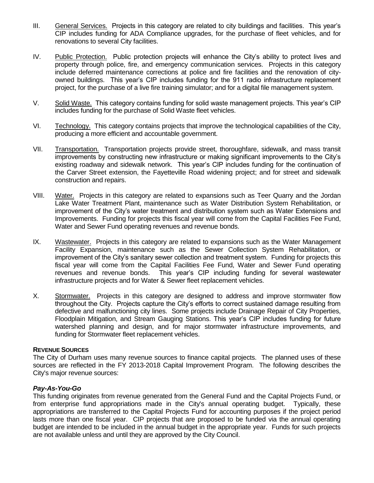- III. General Services. Projects in this category are related to city buildings and facilities. This year's CIP includes funding for ADA Compliance upgrades, for the purchase of fleet vehicles, and for renovations to several City facilities.
- IV. Public Protection. Public protection projects will enhance the City's ability to protect lives and property through police, fire, and emergency communication services. Projects in this category include deferred maintenance corrections at police and fire facilities and the renovation of cityowned buildings. This year's CIP includes funding for the 911 radio infrastructure replacement project, for the purchase of a live fire training simulator; and for a digital file management system.
- V. Solid Waste. This category contains funding for solid waste management projects. This year's CIP includes funding for the purchase of Solid Waste fleet vehicles.
- VI. Technology. This category contains projects that improve the technological capabilities of the City, producing a more efficient and accountable government.
- VII. Transportation. Transportation projects provide street, thoroughfare, sidewalk, and mass transit improvements by constructing new infrastructure or making significant improvements to the City's existing roadway and sidewalk network. This year's CIP includes funding for the continuation of the Carver Street extension, the Fayetteville Road widening project; and for street and sidewalk construction and repairs.
- VIII. Water. Projects in this category are related to expansions such as Teer Quarry and the Jordan Lake Water Treatment Plant, maintenance such as Water Distribution System Rehabilitation, or improvement of the City's water treatment and distribution system such as Water Extensions and Improvements. Funding for projects this fiscal year will come from the Capital Facilities Fee Fund, Water and Sewer Fund operating revenues and revenue bonds.
- IX. Wastewater. Projects in this category are related to expansions such as the Water Management Facility Expansion, maintenance such as the Sewer Collection System Rehabilitation, or improvement of the City's sanitary sewer collection and treatment system. Funding for projects this fiscal year will come from the Capital Facilities Fee Fund, Water and Sewer Fund operating revenues and revenue bonds. This year's CIP including funding for several wastewater infrastructure projects and for Water & Sewer fleet replacement vehicles.
- X. Stormwater. Projects in this category are designed to address and improve stormwater flow throughout the City. Projects capture the City's efforts to correct sustained damage resulting from defective and malfunctioning city lines. Some projects include Drainage Repair of City Properties, Floodplain Mitigation, and Stream Gauging Stations. This year's CIP includes funding for future watershed planning and design, and for major stormwater infrastructure improvements, and funding for Stormwater fleet replacement vehicles.

#### **REVENUE SOURCES**

The City of Durham uses many revenue sources to finance capital projects. The planned uses of these sources are reflected in the FY 2013-2018 Capital Improvement Program. The following describes the City's major revenue sources:

#### *Pay-As-You-Go*

This funding originates from revenue generated from the General Fund and the Capital Projects Fund, or from enterprise fund appropriations made in the City's annual operating budget. Typically, these appropriations are transferred to the Capital Projects Fund for accounting purposes if the project period lasts more than one fiscal year. CIP projects that are proposed to be funded via the annual operating budget are intended to be included in the annual budget in the appropriate year. Funds for such projects are not available unless and until they are approved by the City Council.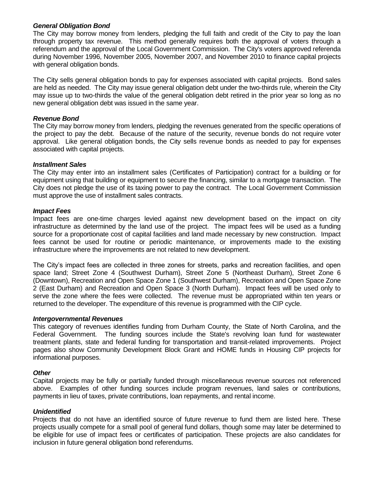#### *General Obligation Bond*

The City may borrow money from lenders, pledging the full faith and credit of the City to pay the loan through property tax revenue. This method generally requires both the approval of voters through a referendum and the approval of the Local Government Commission. The City's voters approved referenda during November 1996, November 2005, November 2007, and November 2010 to finance capital projects with general obligation bonds.

The City sells general obligation bonds to pay for expenses associated with capital projects. Bond sales are held as needed. The City may issue general obligation debt under the two-thirds rule, wherein the City may issue up to two-thirds the value of the general obligation debt retired in the prior year so long as no new general obligation debt was issued in the same year.

#### *Revenue Bond*

The City may borrow money from lenders, pledging the revenues generated from the specific operations of the project to pay the debt. Because of the nature of the security, revenue bonds do not require voter approval. Like general obligation bonds, the City sells revenue bonds as needed to pay for expenses associated with capital projects.

#### *Installment Sales*

The City may enter into an installment sales (Certificates of Participation) contract for a building or for equipment using that building or equipment to secure the financing, similar to a mortgage transaction. The City does not pledge the use of its taxing power to pay the contract. The Local Government Commission must approve the use of installment sales contracts.

#### *Impact Fees*

Impact fees are one-time charges levied against new development based on the impact on city infrastructure as determined by the land use of the project. The impact fees will be used as a funding source for a proportionate cost of capital facilities and land made necessary by new construction. Impact fees cannot be used for routine or periodic maintenance, or improvements made to the existing infrastructure where the improvements are not related to new development.

The City's impact fees are collected in three zones for streets, parks and recreation facilities, and open space land; Street Zone 4 (Southwest Durham), Street Zone 5 (Northeast Durham), Street Zone 6 (Downtown), Recreation and Open Space Zone 1 (Southwest Durham), Recreation and Open Space Zone 2 (East Durham) and Recreation and Open Space 3 (North Durham). Impact fees will be used only to serve the zone where the fees were collected. The revenue must be appropriated within ten years or returned to the developer. The expenditure of this revenue is programmed with the CIP cycle.

#### *Intergovernmental Revenues*

This category of revenues identifies funding from Durham County, the State of North Carolina, and the Federal Government. The funding sources include the State's revolving loan fund for wastewater treatment plants, state and federal funding for transportation and transit-related improvements. Project pages also show Community Development Block Grant and HOME funds in Housing CIP projects for informational purposes.

#### *Other*

Capital projects may be fully or partially funded through miscellaneous revenue sources not referenced above. Examples of other funding sources include program revenues, land sales or contributions, payments in lieu of taxes, private contributions, loan repayments, and rental income.

#### *Unidentified*

Projects that do not have an identified source of future revenue to fund them are listed here. These projects usually compete for a small pool of general fund dollars, though some may later be determined to be eligible for use of impact fees or certificates of participation. These projects are also candidates for inclusion in future general obligation bond referendums.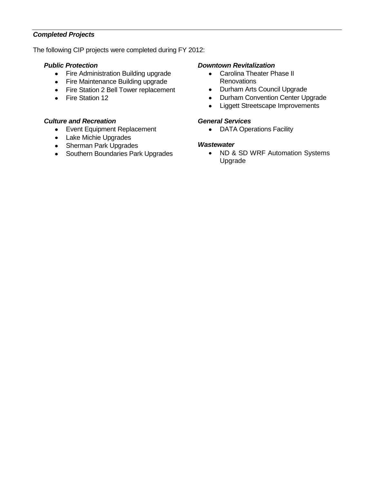#### *Completed Projects*

The following CIP projects were completed during FY 2012:

#### *Public Protection*

- Fire Administration Building upgrade
- Fire Maintenance Building upgrade
- Fire Station 2 Bell Tower replacement
- Fire Station 12

#### *Culture and Recreation*

- Event Equipment Replacement
- Lake Michie Upgrades
- Sherman Park Upgrades
- Southern Boundaries Park Upgrades

#### *Downtown Revitalization*

- Carolina Theater Phase II **Renovations**
- Durham Arts Council Upgrade
- Durham Convention Center Upgrade
- Liggett Streetscape Improvements  $\bullet$

#### *General Services*

• DATA Operations Facility

#### *Wastewater*

• ND & SD WRF Automation Systems Upgrade